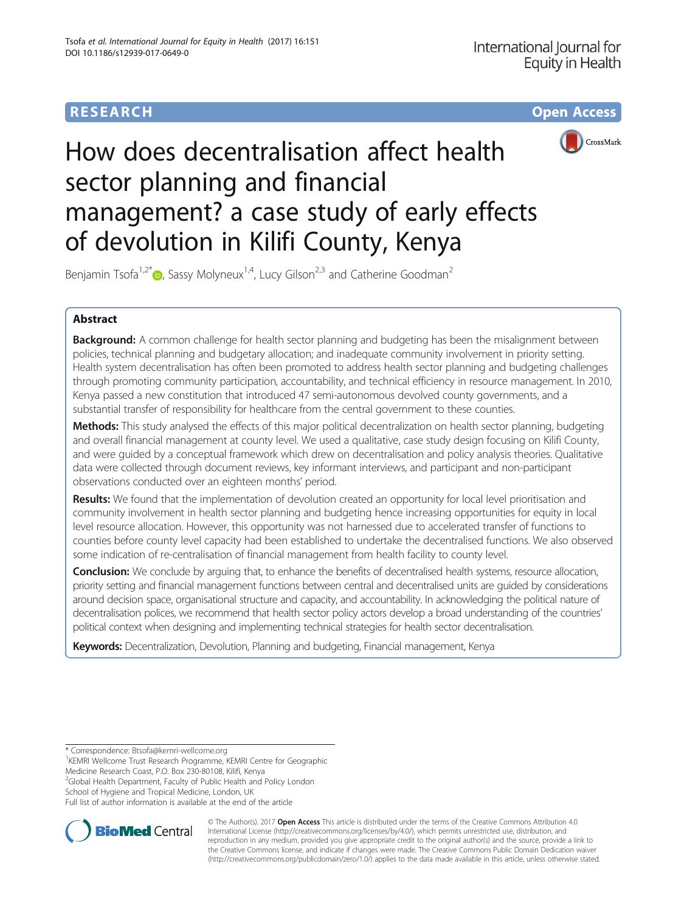

# How does decentralisation affect health sector planning and financial management? a case study of early effects of devolution in Kilifi County, Kenya

Benjamin Tsofa<sup>1[,](http://orcid.org/0000-0003-1000-1771)2\*</sup> $\bullet$ , Sassy Molyneux<sup>1,4</sup>, Lucy Gilson<sup>2,3</sup> and Catherine Goodman<sup>2</sup>

# Abstract

Background: A common challenge for health sector planning and budgeting has been the misalignment between policies, technical planning and budgetary allocation; and inadequate community involvement in priority setting. Health system decentralisation has often been promoted to address health sector planning and budgeting challenges through promoting community participation, accountability, and technical efficiency in resource management. In 2010, Kenya passed a new constitution that introduced 47 semi-autonomous devolved county governments, and a substantial transfer of responsibility for healthcare from the central government to these counties.

Methods: This study analysed the effects of this major political decentralization on health sector planning, budgeting and overall financial management at county level. We used a qualitative, case study design focusing on Kilifi County, and were guided by a conceptual framework which drew on decentralisation and policy analysis theories. Qualitative data were collected through document reviews, key informant interviews, and participant and non-participant observations conducted over an eighteen months' period.

Results: We found that the implementation of devolution created an opportunity for local level prioritisation and community involvement in health sector planning and budgeting hence increasing opportunities for equity in local level resource allocation. However, this opportunity was not harnessed due to accelerated transfer of functions to counties before county level capacity had been established to undertake the decentralised functions. We also observed some indication of re-centralisation of financial management from health facility to county level.

**Conclusion:** We conclude by arguing that, to enhance the benefits of decentralised health systems, resource allocation, priority setting and financial management functions between central and decentralised units are guided by considerations around decision space, organisational structure and capacity, and accountability. In acknowledging the political nature of decentralisation polices, we recommend that health sector policy actors develop a broad understanding of the countries' political context when designing and implementing technical strategies for health sector decentralisation.

Keywords: Decentralization, Devolution, Planning and budgeting, Financial management, Kenya

<sup>1</sup>KEMRI Wellcome Trust Research Programme, KEMRI Centre for Geographic

Medicine Research Coast, P.O. Box 230-80108, Kilifi, Kenya

<sup>2</sup> Global Health Department, Faculty of Public Health and Policy London School of Hygiene and Tropical Medicine, London, UK

Full list of author information is available at the end of the article



© The Author(s). 2017 **Open Access** This article is distributed under the terms of the Creative Commons Attribution 4.0 International License [\(http://creativecommons.org/licenses/by/4.0/](http://creativecommons.org/licenses/by/4.0/)), which permits unrestricted use, distribution, and reproduction in any medium, provided you give appropriate credit to the original author(s) and the source, provide a link to the Creative Commons license, and indicate if changes were made. The Creative Commons Public Domain Dedication waiver [\(http://creativecommons.org/publicdomain/zero/1.0/](http://creativecommons.org/publicdomain/zero/1.0/)) applies to the data made available in this article, unless otherwise stated.

<sup>\*</sup> Correspondence: [Btsofa@kemri-wellcome.org](mailto:Btsofa@kemri-wellcome.org) <sup>1</sup>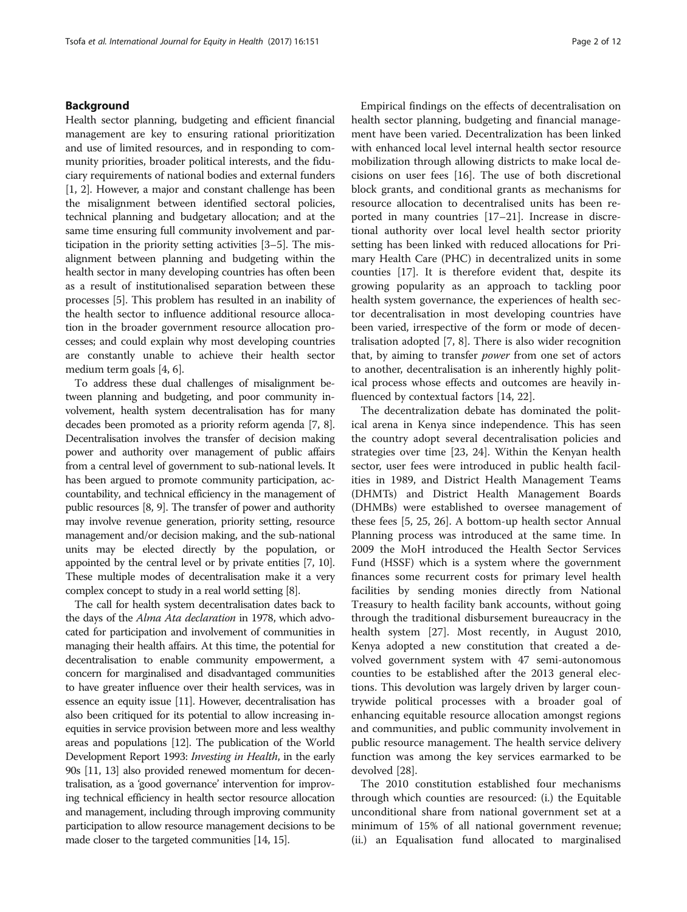## Background

Health sector planning, budgeting and efficient financial management are key to ensuring rational prioritization and use of limited resources, and in responding to community priorities, broader political interests, and the fiduciary requirements of national bodies and external funders [[1, 2\]](#page-10-0). However, a major and constant challenge has been the misalignment between identified sectoral policies, technical planning and budgetary allocation; and at the same time ensuring full community involvement and participation in the priority setting activities [\[3](#page-10-0)–[5\]](#page-10-0). The misalignment between planning and budgeting within the health sector in many developing countries has often been as a result of institutionalised separation between these processes [[5\]](#page-10-0). This problem has resulted in an inability of the health sector to influence additional resource allocation in the broader government resource allocation processes; and could explain why most developing countries are constantly unable to achieve their health sector medium term goals [\[4](#page-10-0), [6\]](#page-10-0).

To address these dual challenges of misalignment between planning and budgeting, and poor community involvement, health system decentralisation has for many decades been promoted as a priority reform agenda [[7](#page-10-0), [8](#page-10-0)]. Decentralisation involves the transfer of decision making power and authority over management of public affairs from a central level of government to sub-national levels. It has been argued to promote community participation, accountability, and technical efficiency in the management of public resources [\[8](#page-10-0), [9\]](#page-10-0). The transfer of power and authority may involve revenue generation, priority setting, resource management and/or decision making, and the sub-national units may be elected directly by the population, or appointed by the central level or by private entities [\[7, 10](#page-10-0)]. These multiple modes of decentralisation make it a very complex concept to study in a real world setting [[8](#page-10-0)].

The call for health system decentralisation dates back to the days of the Alma Ata declaration in 1978, which advocated for participation and involvement of communities in managing their health affairs. At this time, the potential for decentralisation to enable community empowerment, a concern for marginalised and disadvantaged communities to have greater influence over their health services, was in essence an equity issue [[11](#page-10-0)]. However, decentralisation has also been critiqued for its potential to allow increasing inequities in service provision between more and less wealthy areas and populations [[12\]](#page-10-0). The publication of the World Development Report 1993: Investing in Health, in the early 90s [\[11, 13](#page-10-0)] also provided renewed momentum for decentralisation, as a 'good governance' intervention for improving technical efficiency in health sector resource allocation and management, including through improving community participation to allow resource management decisions to be made closer to the targeted communities [[14](#page-10-0), [15](#page-10-0)].

Empirical findings on the effects of decentralisation on health sector planning, budgeting and financial management have been varied. Decentralization has been linked with enhanced local level internal health sector resource mobilization through allowing districts to make local decisions on user fees [[16\]](#page-10-0). The use of both discretional block grants, and conditional grants as mechanisms for resource allocation to decentralised units has been reported in many countries [\[17](#page-10-0)–[21\]](#page-10-0). Increase in discretional authority over local level health sector priority setting has been linked with reduced allocations for Primary Health Care (PHC) in decentralized units in some counties [[17\]](#page-10-0). It is therefore evident that, despite its growing popularity as an approach to tackling poor health system governance, the experiences of health sector decentralisation in most developing countries have been varied, irrespective of the form or mode of decentralisation adopted [\[7](#page-10-0), [8](#page-10-0)]. There is also wider recognition that, by aiming to transfer power from one set of actors to another, decentralisation is an inherently highly political process whose effects and outcomes are heavily influenced by contextual factors [[14, 22\]](#page-10-0).

The decentralization debate has dominated the political arena in Kenya since independence. This has seen the country adopt several decentralisation policies and strategies over time [[23, 24\]](#page-10-0). Within the Kenyan health sector, user fees were introduced in public health facilities in 1989, and District Health Management Teams (DHMTs) and District Health Management Boards (DHMBs) were established to oversee management of these fees [[5, 25](#page-10-0), [26](#page-10-0)]. A bottom-up health sector Annual Planning process was introduced at the same time. In 2009 the MoH introduced the Health Sector Services Fund (HSSF) which is a system where the government finances some recurrent costs for primary level health facilities by sending monies directly from National Treasury to health facility bank accounts, without going through the traditional disbursement bureaucracy in the health system [\[27](#page-10-0)]. Most recently, in August 2010, Kenya adopted a new constitution that created a devolved government system with 47 semi-autonomous counties to be established after the 2013 general elections. This devolution was largely driven by larger countrywide political processes with a broader goal of enhancing equitable resource allocation amongst regions and communities, and public community involvement in public resource management. The health service delivery function was among the key services earmarked to be devolved [[28\]](#page-10-0).

The 2010 constitution established four mechanisms through which counties are resourced: (i.) the Equitable unconditional share from national government set at a minimum of 15% of all national government revenue; (ii.) an Equalisation fund allocated to marginalised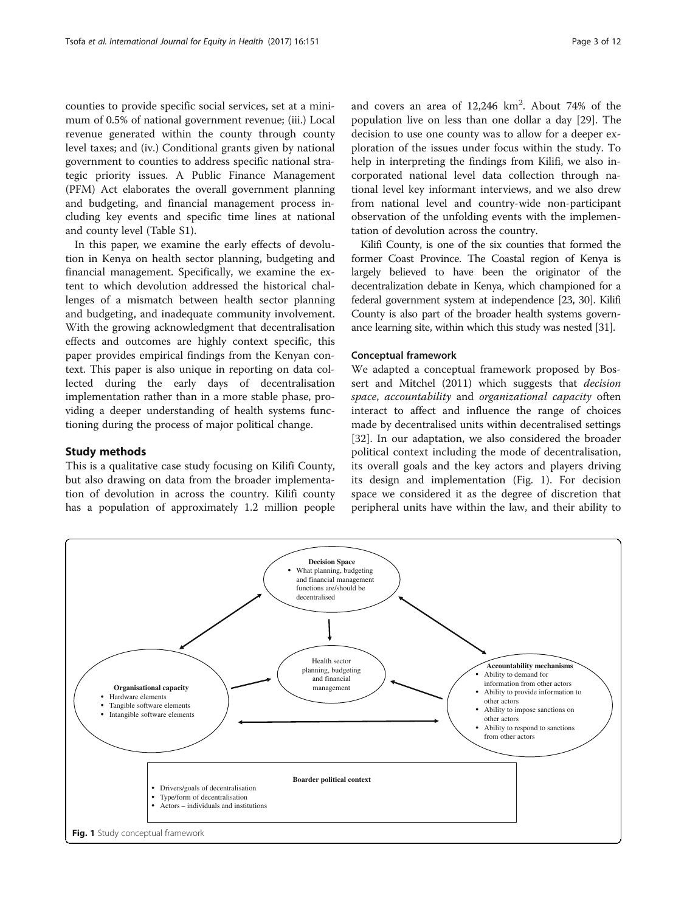counties to provide specific social services, set at a minimum of 0.5% of national government revenue; (iii.) Local revenue generated within the county through county level taxes; and (iv.) Conditional grants given by national government to counties to address specific national strategic priority issues. A Public Finance Management (PFM) Act elaborates the overall government planning and budgeting, and financial management process including key events and specific time lines at national and county level (Table S1).

In this paper, we examine the early effects of devolution in Kenya on health sector planning, budgeting and financial management. Specifically, we examine the extent to which devolution addressed the historical challenges of a mismatch between health sector planning and budgeting, and inadequate community involvement. With the growing acknowledgment that decentralisation effects and outcomes are highly context specific, this paper provides empirical findings from the Kenyan context. This paper is also unique in reporting on data collected during the early days of decentralisation implementation rather than in a more stable phase, providing a deeper understanding of health systems functioning during the process of major political change.

### Study methods

This is a qualitative case study focusing on Kilifi County, but also drawing on data from the broader implementation of devolution in across the country. Kilifi county has a population of approximately 1.2 million people and covers an area of  $12,246$  km<sup>2</sup>. About 74% of the population live on less than one dollar a day [\[29](#page-10-0)]. The decision to use one county was to allow for a deeper exploration of the issues under focus within the study. To help in interpreting the findings from Kilifi, we also incorporated national level data collection through national level key informant interviews, and we also drew from national level and country-wide non-participant observation of the unfolding events with the implementation of devolution across the country.

Kilifi County, is one of the six counties that formed the former Coast Province. The Coastal region of Kenya is largely believed to have been the originator of the decentralization debate in Kenya, which championed for a federal government system at independence [\[23](#page-10-0), [30](#page-10-0)]. Kilifi County is also part of the broader health systems governance learning site, within which this study was nested [\[31\]](#page-11-0).

#### Conceptual framework

We adapted a conceptual framework proposed by Bossert and Mitchel (2011) which suggests that *decision* space, accountability and organizational capacity often interact to affect and influence the range of choices made by decentralised units within decentralised settings [[32\]](#page-11-0). In our adaptation, we also considered the broader political context including the mode of decentralisation, its overall goals and the key actors and players driving its design and implementation (Fig. 1). For decision space we considered it as the degree of discretion that peripheral units have within the law, and their ability to

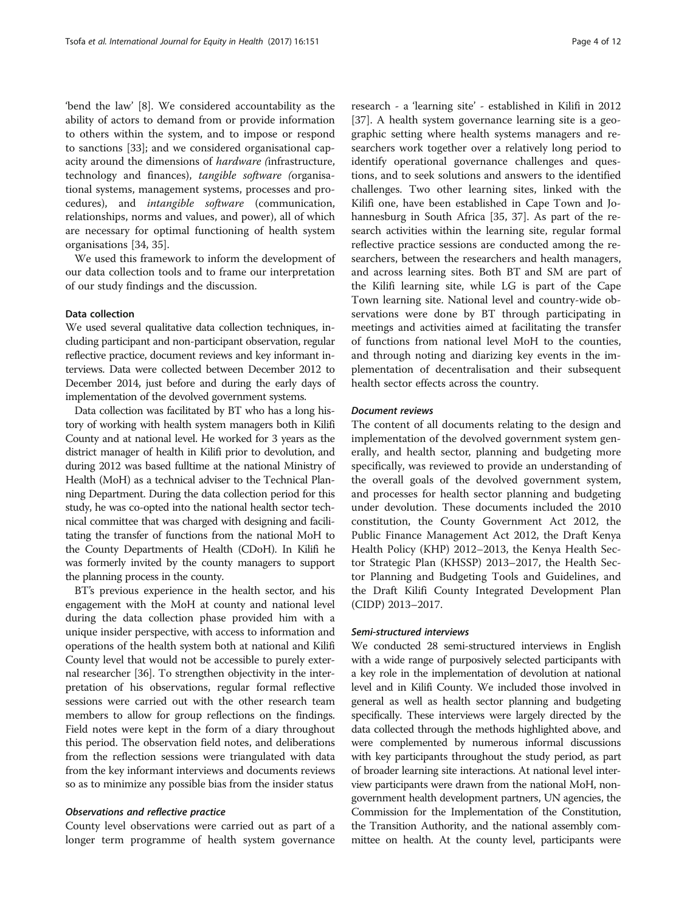'bend the law' [[8\]](#page-10-0). We considered accountability as the ability of actors to demand from or provide information to others within the system, and to impose or respond to sanctions [[33\]](#page-11-0); and we considered organisational capacity around the dimensions of hardware (infrastructure, technology and finances), tangible software (organisational systems, management systems, processes and procedures), and intangible software (communication, relationships, norms and values, and power), all of which are necessary for optimal functioning of health system organisations [[34, 35\]](#page-11-0).

We used this framework to inform the development of our data collection tools and to frame our interpretation of our study findings and the discussion.

#### Data collection

We used several qualitative data collection techniques, including participant and non-participant observation, regular reflective practice, document reviews and key informant interviews. Data were collected between December 2012 to December 2014, just before and during the early days of implementation of the devolved government systems.

Data collection was facilitated by BT who has a long history of working with health system managers both in Kilifi County and at national level. He worked for 3 years as the district manager of health in Kilifi prior to devolution, and during 2012 was based fulltime at the national Ministry of Health (MoH) as a technical adviser to the Technical Planning Department. During the data collection period for this study, he was co-opted into the national health sector technical committee that was charged with designing and facilitating the transfer of functions from the national MoH to the County Departments of Health (CDoH). In Kilifi he was formerly invited by the county managers to support the planning process in the county.

BT's previous experience in the health sector, and his engagement with the MoH at county and national level during the data collection phase provided him with a unique insider perspective, with access to information and operations of the health system both at national and Kilifi County level that would not be accessible to purely external researcher [\[36](#page-11-0)]. To strengthen objectivity in the interpretation of his observations, regular formal reflective sessions were carried out with the other research team members to allow for group reflections on the findings. Field notes were kept in the form of a diary throughout this period. The observation field notes, and deliberations from the reflection sessions were triangulated with data from the key informant interviews and documents reviews so as to minimize any possible bias from the insider status

#### Observations and reflective practice

County level observations were carried out as part of a longer term programme of health system governance

research - a 'learning site' - established in Kilifi in 2012 [[37\]](#page-11-0). A health system governance learning site is a geographic setting where health systems managers and researchers work together over a relatively long period to identify operational governance challenges and questions, and to seek solutions and answers to the identified challenges. Two other learning sites, linked with the Kilifi one, have been established in Cape Town and Johannesburg in South Africa [[35, 37\]](#page-11-0). As part of the research activities within the learning site, regular formal reflective practice sessions are conducted among the researchers, between the researchers and health managers, and across learning sites. Both BT and SM are part of the Kilifi learning site, while LG is part of the Cape Town learning site. National level and country-wide observations were done by BT through participating in meetings and activities aimed at facilitating the transfer of functions from national level MoH to the counties, and through noting and diarizing key events in the implementation of decentralisation and their subsequent health sector effects across the country.

#### Document reviews

The content of all documents relating to the design and implementation of the devolved government system generally, and health sector, planning and budgeting more specifically, was reviewed to provide an understanding of the overall goals of the devolved government system, and processes for health sector planning and budgeting under devolution. These documents included the 2010 constitution, the County Government Act 2012, the Public Finance Management Act 2012, the Draft Kenya Health Policy (KHP) 2012–2013, the Kenya Health Sector Strategic Plan (KHSSP) 2013–2017, the Health Sector Planning and Budgeting Tools and Guidelines, and the Draft Kilifi County Integrated Development Plan (CIDP) 2013–2017.

#### Semi-structured interviews

We conducted 28 semi-structured interviews in English with a wide range of purposively selected participants with a key role in the implementation of devolution at national level and in Kilifi County. We included those involved in general as well as health sector planning and budgeting specifically. These interviews were largely directed by the data collected through the methods highlighted above, and were complemented by numerous informal discussions with key participants throughout the study period, as part of broader learning site interactions. At national level interview participants were drawn from the national MoH, nongovernment health development partners, UN agencies, the Commission for the Implementation of the Constitution, the Transition Authority, and the national assembly committee on health. At the county level, participants were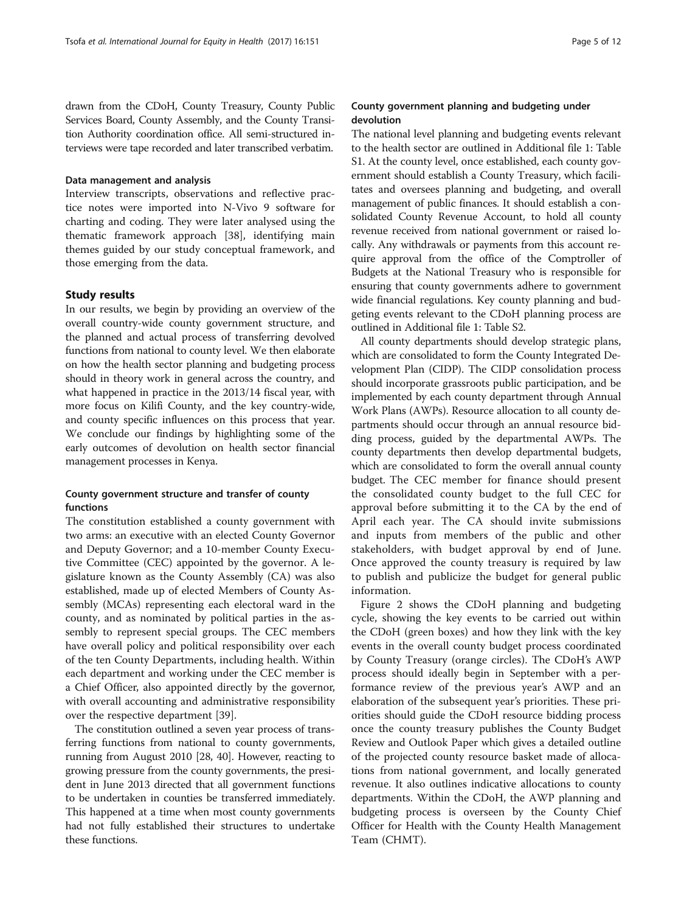drawn from the CDoH, County Treasury, County Public Services Board, County Assembly, and the County Transition Authority coordination office. All semi-structured interviews were tape recorded and later transcribed verbatim.

#### Data management and analysis

Interview transcripts, observations and reflective practice notes were imported into N-Vivo 9 software for charting and coding. They were later analysed using the thematic framework approach [[38\]](#page-11-0), identifying main themes guided by our study conceptual framework, and those emerging from the data.

## Study results

In our results, we begin by providing an overview of the overall country-wide county government structure, and the planned and actual process of transferring devolved functions from national to county level. We then elaborate on how the health sector planning and budgeting process should in theory work in general across the country, and what happened in practice in the 2013/14 fiscal year, with more focus on Kilifi County, and the key country-wide, and county specific influences on this process that year. We conclude our findings by highlighting some of the early outcomes of devolution on health sector financial management processes in Kenya.

## County government structure and transfer of county functions

The constitution established a county government with two arms: an executive with an elected County Governor and Deputy Governor; and a 10-member County Executive Committee (CEC) appointed by the governor. A legislature known as the County Assembly (CA) was also established, made up of elected Members of County Assembly (MCAs) representing each electoral ward in the county, and as nominated by political parties in the assembly to represent special groups. The CEC members have overall policy and political responsibility over each of the ten County Departments, including health. Within each department and working under the CEC member is a Chief Officer, also appointed directly by the governor, with overall accounting and administrative responsibility over the respective department [\[39\]](#page-11-0).

The constitution outlined a seven year process of transferring functions from national to county governments, running from August 2010 [[28,](#page-10-0) [40\]](#page-11-0). However, reacting to growing pressure from the county governments, the president in June 2013 directed that all government functions to be undertaken in counties be transferred immediately. This happened at a time when most county governments had not fully established their structures to undertake these functions.

## County government planning and budgeting under devolution

The national level planning and budgeting events relevant to the health sector are outlined in Additional file [1](#page-10-0): Table S1. At the county level, once established, each county government should establish a County Treasury, which facilitates and oversees planning and budgeting, and overall management of public finances. It should establish a consolidated County Revenue Account, to hold all county revenue received from national government or raised locally. Any withdrawals or payments from this account require approval from the office of the Comptroller of Budgets at the National Treasury who is responsible for ensuring that county governments adhere to government wide financial regulations. Key county planning and budgeting events relevant to the CDoH planning process are outlined in Additional file [1](#page-10-0): Table S2.

All county departments should develop strategic plans, which are consolidated to form the County Integrated Development Plan (CIDP). The CIDP consolidation process should incorporate grassroots public participation, and be implemented by each county department through Annual Work Plans (AWPs). Resource allocation to all county departments should occur through an annual resource bidding process, guided by the departmental AWPs. The county departments then develop departmental budgets, which are consolidated to form the overall annual county budget. The CEC member for finance should present the consolidated county budget to the full CEC for approval before submitting it to the CA by the end of April each year. The CA should invite submissions and inputs from members of the public and other stakeholders, with budget approval by end of June. Once approved the county treasury is required by law to publish and publicize the budget for general public information.

Figure [2](#page-5-0) shows the CDoH planning and budgeting cycle, showing the key events to be carried out within the CDoH (green boxes) and how they link with the key events in the overall county budget process coordinated by County Treasury (orange circles). The CDoH's AWP process should ideally begin in September with a performance review of the previous year's AWP and an elaboration of the subsequent year's priorities. These priorities should guide the CDoH resource bidding process once the county treasury publishes the County Budget Review and Outlook Paper which gives a detailed outline of the projected county resource basket made of allocations from national government, and locally generated revenue. It also outlines indicative allocations to county departments. Within the CDoH, the AWP planning and budgeting process is overseen by the County Chief Officer for Health with the County Health Management Team (CHMT).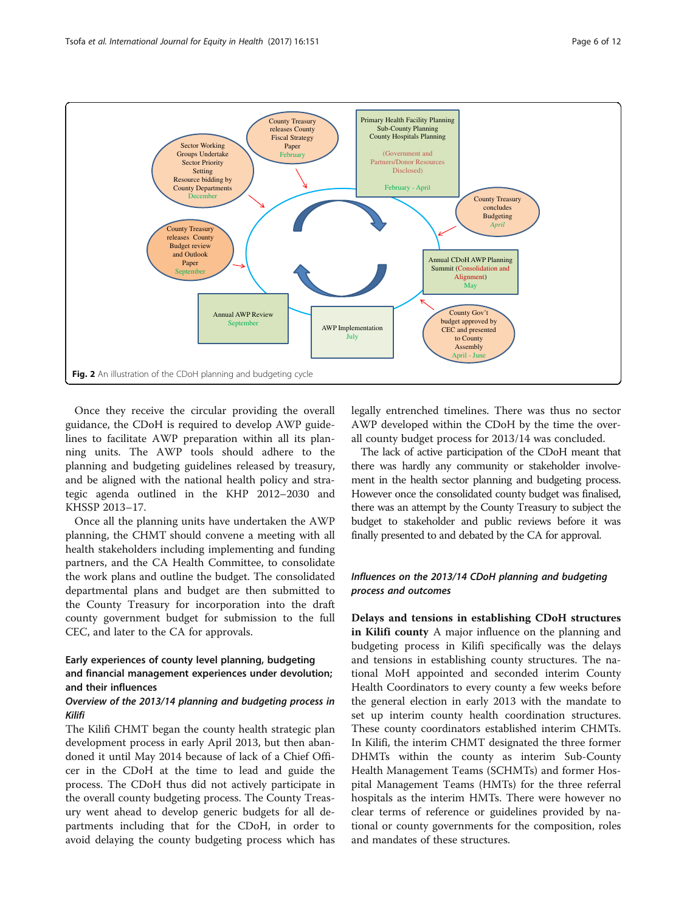<span id="page-5-0"></span>

Once they receive the circular providing the overall guidance, the CDoH is required to develop AWP guidelines to facilitate AWP preparation within all its planning units. The AWP tools should adhere to the planning and budgeting guidelines released by treasury, and be aligned with the national health policy and strategic agenda outlined in the KHP 2012–2030 and KHSSP 2013–17.

Once all the planning units have undertaken the AWP planning, the CHMT should convene a meeting with all health stakeholders including implementing and funding partners, and the CA Health Committee, to consolidate the work plans and outline the budget. The consolidated departmental plans and budget are then submitted to the County Treasury for incorporation into the draft county government budget for submission to the full CEC, and later to the CA for approvals.

## Early experiences of county level planning, budgeting and financial management experiences under devolution; and their influences

## Overview of the 2013/14 planning and budgeting process in Kilifi

The Kilifi CHMT began the county health strategic plan development process in early April 2013, but then abandoned it until May 2014 because of lack of a Chief Officer in the CDoH at the time to lead and guide the process. The CDoH thus did not actively participate in the overall county budgeting process. The County Treasury went ahead to develop generic budgets for all departments including that for the CDoH, in order to avoid delaying the county budgeting process which has legally entrenched timelines. There was thus no sector AWP developed within the CDoH by the time the overall county budget process for 2013/14 was concluded.

The lack of active participation of the CDoH meant that there was hardly any community or stakeholder involvement in the health sector planning and budgeting process. However once the consolidated county budget was finalised, there was an attempt by the County Treasury to subject the budget to stakeholder and public reviews before it was finally presented to and debated by the CA for approval.

## Influences on the 2013/14 CDoH planning and budgeting process and outcomes

Delays and tensions in establishing CDoH structures in Kilifi county A major influence on the planning and budgeting process in Kilifi specifically was the delays and tensions in establishing county structures. The national MoH appointed and seconded interim County Health Coordinators to every county a few weeks before the general election in early 2013 with the mandate to set up interim county health coordination structures. These county coordinators established interim CHMTs. In Kilifi, the interim CHMT designated the three former DHMTs within the county as interim Sub-County Health Management Teams (SCHMTs) and former Hospital Management Teams (HMTs) for the three referral hospitals as the interim HMTs. There were however no clear terms of reference or guidelines provided by national or county governments for the composition, roles and mandates of these structures.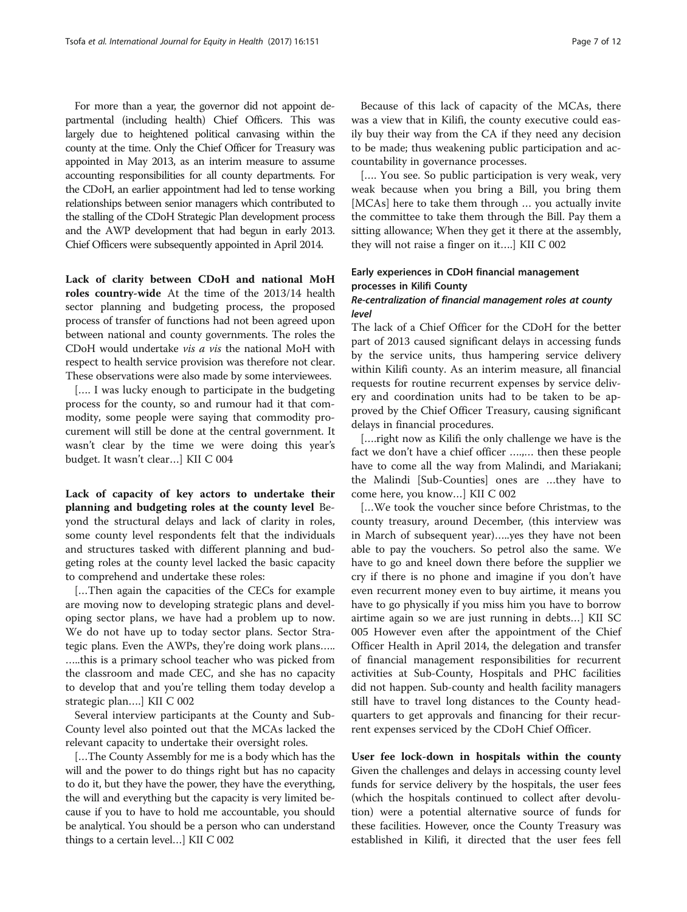For more than a year, the governor did not appoint departmental (including health) Chief Officers. This was largely due to heightened political canvasing within the county at the time. Only the Chief Officer for Treasury was appointed in May 2013, as an interim measure to assume accounting responsibilities for all county departments. For the CDoH, an earlier appointment had led to tense working relationships between senior managers which contributed to the stalling of the CDoH Strategic Plan development process and the AWP development that had begun in early 2013. Chief Officers were subsequently appointed in April 2014.

Lack of clarity between CDoH and national MoH roles country-wide At the time of the 2013/14 health sector planning and budgeting process, the proposed process of transfer of functions had not been agreed upon between national and county governments. The roles the CDoH would undertake vis a vis the national MoH with respect to health service provision was therefore not clear. These observations were also made by some interviewees.

[…. I was lucky enough to participate in the budgeting process for the county, so and rumour had it that commodity, some people were saying that commodity procurement will still be done at the central government. It wasn't clear by the time we were doing this year's budget. It wasn't clear…] KII C 004

Lack of capacity of key actors to undertake their planning and budgeting roles at the county level Beyond the structural delays and lack of clarity in roles, some county level respondents felt that the individuals and structures tasked with different planning and budgeting roles at the county level lacked the basic capacity to comprehend and undertake these roles:

[...Then again the capacities of the CECs for example are moving now to developing strategic plans and developing sector plans, we have had a problem up to now. We do not have up to today sector plans. Sector Strategic plans. Even the AWPs, they're doing work plans….. …..this is a primary school teacher who was picked from the classroom and made CEC, and she has no capacity to develop that and you're telling them today develop a strategic plan….] KII C 002

Several interview participants at the County and Sub-County level also pointed out that the MCAs lacked the relevant capacity to undertake their oversight roles.

[…The County Assembly for me is a body which has the will and the power to do things right but has no capacity to do it, but they have the power, they have the everything, the will and everything but the capacity is very limited because if you to have to hold me accountable, you should be analytical. You should be a person who can understand things to a certain level…] KII C 002

Because of this lack of capacity of the MCAs, there was a view that in Kilifi, the county executive could easily buy their way from the CA if they need any decision to be made; thus weakening public participation and accountability in governance processes.

[.... You see. So public participation is very weak, very weak because when you bring a Bill, you bring them [MCAs] here to take them through ... you actually invite the committee to take them through the Bill. Pay them a sitting allowance; When they get it there at the assembly, they will not raise a finger on it….] KII C 002

## Early experiences in CDoH financial management processes in Kilifi County

## Re-centralization of financial management roles at county level

The lack of a Chief Officer for the CDoH for the better part of 2013 caused significant delays in accessing funds by the service units, thus hampering service delivery within Kilifi county. As an interim measure, all financial requests for routine recurrent expenses by service delivery and coordination units had to be taken to be approved by the Chief Officer Treasury, causing significant delays in financial procedures.

[….right now as Kilifi the only challenge we have is the fact we don't have a chief officer ….,… then these people have to come all the way from Malindi, and Mariakani; the Malindi [Sub-Counties] ones are …they have to come here, you know…] KII C 002

[…We took the voucher since before Christmas, to the county treasury, around December, (this interview was in March of subsequent year)…..yes they have not been able to pay the vouchers. So petrol also the same. We have to go and kneel down there before the supplier we cry if there is no phone and imagine if you don't have even recurrent money even to buy airtime, it means you have to go physically if you miss him you have to borrow airtime again so we are just running in debts…] KII SC 005 However even after the appointment of the Chief Officer Health in April 2014, the delegation and transfer of financial management responsibilities for recurrent activities at Sub-County, Hospitals and PHC facilities did not happen. Sub-county and health facility managers still have to travel long distances to the County headquarters to get approvals and financing for their recurrent expenses serviced by the CDoH Chief Officer.

User fee lock-down in hospitals within the county Given the challenges and delays in accessing county level funds for service delivery by the hospitals, the user fees (which the hospitals continued to collect after devolution) were a potential alternative source of funds for these facilities. However, once the County Treasury was established in Kilifi, it directed that the user fees fell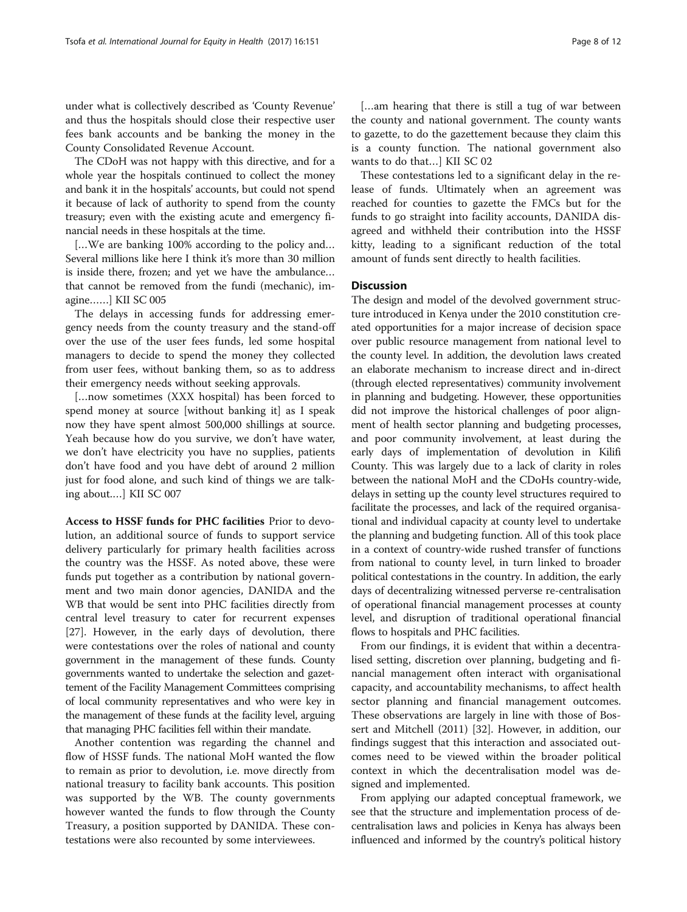under what is collectively described as 'County Revenue' and thus the hospitals should close their respective user fees bank accounts and be banking the money in the County Consolidated Revenue Account.

The CDoH was not happy with this directive, and for a whole year the hospitals continued to collect the money and bank it in the hospitals' accounts, but could not spend it because of lack of authority to spend from the county treasury; even with the existing acute and emergency financial needs in these hospitals at the time.

[…We are banking 100% according to the policy and… Several millions like here I think it's more than 30 million is inside there, frozen; and yet we have the ambulance… that cannot be removed from the fundi (mechanic), imagine……] KII SC 005

The delays in accessing funds for addressing emergency needs from the county treasury and the stand-off over the use of the user fees funds, led some hospital managers to decide to spend the money they collected from user fees, without banking them, so as to address their emergency needs without seeking approvals.

[…now sometimes (XXX hospital) has been forced to spend money at source [without banking it] as I speak now they have spent almost 500,000 shillings at source. Yeah because how do you survive, we don't have water, we don't have electricity you have no supplies, patients don't have food and you have debt of around 2 million just for food alone, and such kind of things we are talking about.…] KII SC 007

Access to HSSF funds for PHC facilities Prior to devolution, an additional source of funds to support service delivery particularly for primary health facilities across the country was the HSSF. As noted above, these were funds put together as a contribution by national government and two main donor agencies, DANIDA and the WB that would be sent into PHC facilities directly from central level treasury to cater for recurrent expenses [[27\]](#page-10-0). However, in the early days of devolution, there were contestations over the roles of national and county government in the management of these funds. County governments wanted to undertake the selection and gazettement of the Facility Management Committees comprising of local community representatives and who were key in the management of these funds at the facility level, arguing that managing PHC facilities fell within their mandate.

Another contention was regarding the channel and flow of HSSF funds. The national MoH wanted the flow to remain as prior to devolution, i.e. move directly from national treasury to facility bank accounts. This position was supported by the WB. The county governments however wanted the funds to flow through the County Treasury, a position supported by DANIDA. These contestations were also recounted by some interviewees.

[…am hearing that there is still a tug of war between the county and national government. The county wants to gazette, to do the gazettement because they claim this is a county function. The national government also wants to do that…] KII SC 02

These contestations led to a significant delay in the release of funds. Ultimately when an agreement was reached for counties to gazette the FMCs but for the funds to go straight into facility accounts, DANIDA disagreed and withheld their contribution into the HSSF kitty, leading to a significant reduction of the total amount of funds sent directly to health facilities.

#### **Discussion**

The design and model of the devolved government structure introduced in Kenya under the 2010 constitution created opportunities for a major increase of decision space over public resource management from national level to the county level. In addition, the devolution laws created an elaborate mechanism to increase direct and in-direct (through elected representatives) community involvement in planning and budgeting. However, these opportunities did not improve the historical challenges of poor alignment of health sector planning and budgeting processes, and poor community involvement, at least during the early days of implementation of devolution in Kilifi County. This was largely due to a lack of clarity in roles between the national MoH and the CDoHs country-wide, delays in setting up the county level structures required to facilitate the processes, and lack of the required organisational and individual capacity at county level to undertake the planning and budgeting function. All of this took place in a context of country-wide rushed transfer of functions from national to county level, in turn linked to broader political contestations in the country. In addition, the early days of decentralizing witnessed perverse re-centralisation of operational financial management processes at county level, and disruption of traditional operational financial flows to hospitals and PHC facilities.

From our findings, it is evident that within a decentralised setting, discretion over planning, budgeting and financial management often interact with organisational capacity, and accountability mechanisms, to affect health sector planning and financial management outcomes. These observations are largely in line with those of Bossert and Mitchell (2011) [[32\]](#page-11-0). However, in addition, our findings suggest that this interaction and associated outcomes need to be viewed within the broader political context in which the decentralisation model was designed and implemented.

From applying our adapted conceptual framework, we see that the structure and implementation process of decentralisation laws and policies in Kenya has always been influenced and informed by the country's political history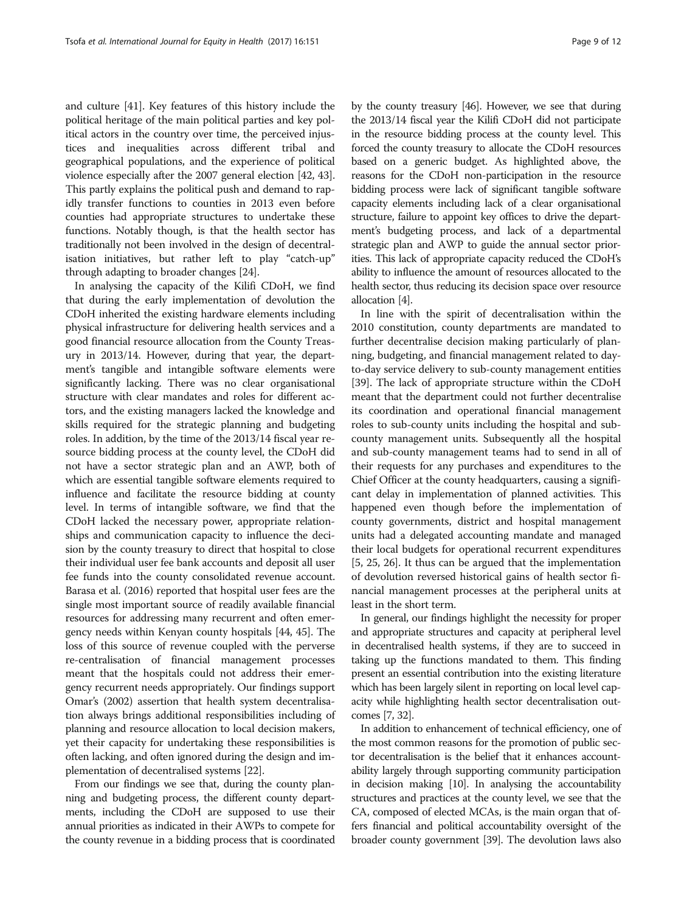and culture [[41](#page-11-0)]. Key features of this history include the political heritage of the main political parties and key political actors in the country over time, the perceived injustices and inequalities across different tribal and geographical populations, and the experience of political violence especially after the 2007 general election [\[42, 43](#page-11-0)]. This partly explains the political push and demand to rapidly transfer functions to counties in 2013 even before counties had appropriate structures to undertake these functions. Notably though, is that the health sector has traditionally not been involved in the design of decentralisation initiatives, but rather left to play "catch-up" through adapting to broader changes [\[24\]](#page-10-0).

In analysing the capacity of the Kilifi CDoH, we find that during the early implementation of devolution the CDoH inherited the existing hardware elements including physical infrastructure for delivering health services and a good financial resource allocation from the County Treasury in 2013/14. However, during that year, the department's tangible and intangible software elements were significantly lacking. There was no clear organisational structure with clear mandates and roles for different actors, and the existing managers lacked the knowledge and skills required for the strategic planning and budgeting roles. In addition, by the time of the 2013/14 fiscal year resource bidding process at the county level, the CDoH did not have a sector strategic plan and an AWP, both of which are essential tangible software elements required to influence and facilitate the resource bidding at county level. In terms of intangible software, we find that the CDoH lacked the necessary power, appropriate relationships and communication capacity to influence the decision by the county treasury to direct that hospital to close their individual user fee bank accounts and deposit all user fee funds into the county consolidated revenue account. Barasa et al. (2016) reported that hospital user fees are the single most important source of readily available financial resources for addressing many recurrent and often emergency needs within Kenyan county hospitals [[44](#page-11-0), [45](#page-11-0)]. The loss of this source of revenue coupled with the perverse re-centralisation of financial management processes meant that the hospitals could not address their emergency recurrent needs appropriately. Our findings support Omar's (2002) assertion that health system decentralisation always brings additional responsibilities including of planning and resource allocation to local decision makers, yet their capacity for undertaking these responsibilities is often lacking, and often ignored during the design and implementation of decentralised systems [\[22](#page-10-0)].

From our findings we see that, during the county planning and budgeting process, the different county departments, including the CDoH are supposed to use their annual priorities as indicated in their AWPs to compete for the county revenue in a bidding process that is coordinated

by the county treasury [\[46\]](#page-11-0). However, we see that during the 2013/14 fiscal year the Kilifi CDoH did not participate in the resource bidding process at the county level. This forced the county treasury to allocate the CDoH resources based on a generic budget. As highlighted above, the reasons for the CDoH non-participation in the resource bidding process were lack of significant tangible software capacity elements including lack of a clear organisational structure, failure to appoint key offices to drive the department's budgeting process, and lack of a departmental strategic plan and AWP to guide the annual sector priorities. This lack of appropriate capacity reduced the CDoH's ability to influence the amount of resources allocated to the health sector, thus reducing its decision space over resource allocation [\[4\]](#page-10-0).

In line with the spirit of decentralisation within the 2010 constitution, county departments are mandated to further decentralise decision making particularly of planning, budgeting, and financial management related to dayto-day service delivery to sub-county management entities [[39](#page-11-0)]. The lack of appropriate structure within the CDoH meant that the department could not further decentralise its coordination and operational financial management roles to sub-county units including the hospital and subcounty management units. Subsequently all the hospital and sub-county management teams had to send in all of their requests for any purchases and expenditures to the Chief Officer at the county headquarters, causing a significant delay in implementation of planned activities. This happened even though before the implementation of county governments, district and hospital management units had a delegated accounting mandate and managed their local budgets for operational recurrent expenditures [[5, 25](#page-10-0), [26](#page-10-0)]. It thus can be argued that the implementation of devolution reversed historical gains of health sector financial management processes at the peripheral units at least in the short term.

In general, our findings highlight the necessity for proper and appropriate structures and capacity at peripheral level in decentralised health systems, if they are to succeed in taking up the functions mandated to them. This finding present an essential contribution into the existing literature which has been largely silent in reporting on local level capacity while highlighting health sector decentralisation outcomes [\[7,](#page-10-0) [32](#page-11-0)].

In addition to enhancement of technical efficiency, one of the most common reasons for the promotion of public sector decentralisation is the belief that it enhances accountability largely through supporting community participation in decision making [\[10\]](#page-10-0). In analysing the accountability structures and practices at the county level, we see that the CA, composed of elected MCAs, is the main organ that offers financial and political accountability oversight of the broader county government [[39](#page-11-0)]. The devolution laws also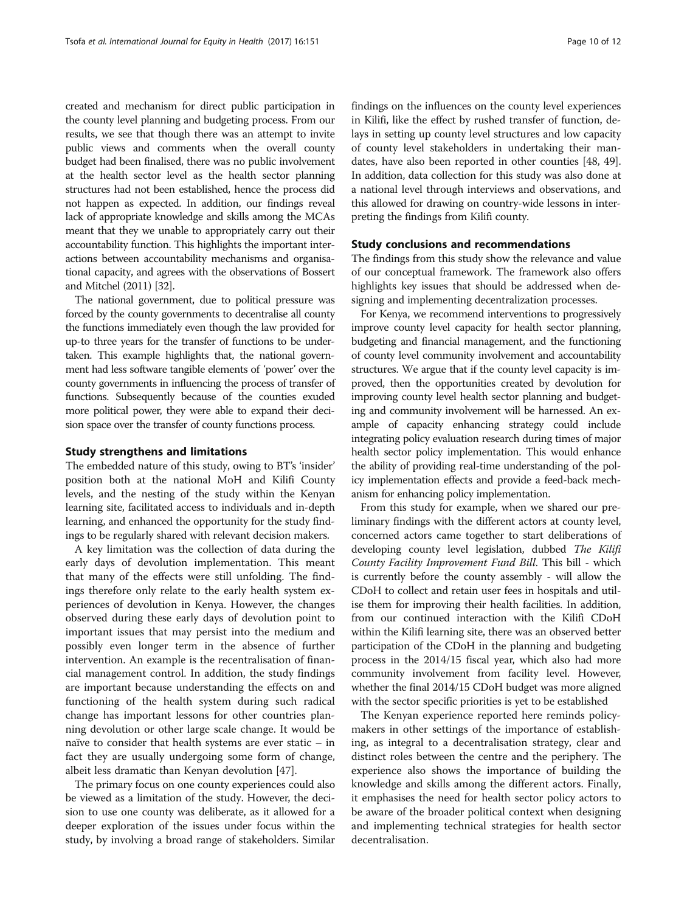created and mechanism for direct public participation in the county level planning and budgeting process. From our results, we see that though there was an attempt to invite public views and comments when the overall county budget had been finalised, there was no public involvement at the health sector level as the health sector planning structures had not been established, hence the process did not happen as expected. In addition, our findings reveal lack of appropriate knowledge and skills among the MCAs meant that they we unable to appropriately carry out their accountability function. This highlights the important interactions between accountability mechanisms and organisational capacity, and agrees with the observations of Bossert and Mitchel (2011) [\[32](#page-11-0)].

The national government, due to political pressure was forced by the county governments to decentralise all county the functions immediately even though the law provided for up-to three years for the transfer of functions to be undertaken. This example highlights that, the national government had less software tangible elements of 'power' over the county governments in influencing the process of transfer of functions. Subsequently because of the counties exuded more political power, they were able to expand their decision space over the transfer of county functions process.

#### Study strengthens and limitations

The embedded nature of this study, owing to BT's 'insider' position both at the national MoH and Kilifi County levels, and the nesting of the study within the Kenyan learning site, facilitated access to individuals and in-depth learning, and enhanced the opportunity for the study findings to be regularly shared with relevant decision makers.

A key limitation was the collection of data during the early days of devolution implementation. This meant that many of the effects were still unfolding. The findings therefore only relate to the early health system experiences of devolution in Kenya. However, the changes observed during these early days of devolution point to important issues that may persist into the medium and possibly even longer term in the absence of further intervention. An example is the recentralisation of financial management control. In addition, the study findings are important because understanding the effects on and functioning of the health system during such radical change has important lessons for other countries planning devolution or other large scale change. It would be naïve to consider that health systems are ever static – in fact they are usually undergoing some form of change, albeit less dramatic than Kenyan devolution [[47](#page-11-0)].

The primary focus on one county experiences could also be viewed as a limitation of the study. However, the decision to use one county was deliberate, as it allowed for a deeper exploration of the issues under focus within the study, by involving a broad range of stakeholders. Similar findings on the influences on the county level experiences in Kilifi, like the effect by rushed transfer of function, delays in setting up county level structures and low capacity of county level stakeholders in undertaking their mandates, have also been reported in other counties [\[48](#page-11-0), [49](#page-11-0)]. In addition, data collection for this study was also done at a national level through interviews and observations, and this allowed for drawing on country-wide lessons in interpreting the findings from Kilifi county.

#### Study conclusions and recommendations

The findings from this study show the relevance and value of our conceptual framework. The framework also offers highlights key issues that should be addressed when designing and implementing decentralization processes.

For Kenya, we recommend interventions to progressively improve county level capacity for health sector planning, budgeting and financial management, and the functioning of county level community involvement and accountability structures. We argue that if the county level capacity is improved, then the opportunities created by devolution for improving county level health sector planning and budgeting and community involvement will be harnessed. An example of capacity enhancing strategy could include integrating policy evaluation research during times of major health sector policy implementation. This would enhance the ability of providing real-time understanding of the policy implementation effects and provide a feed-back mechanism for enhancing policy implementation.

From this study for example, when we shared our preliminary findings with the different actors at county level, concerned actors came together to start deliberations of developing county level legislation, dubbed The Kilifi County Facility Improvement Fund Bill. This bill - which is currently before the county assembly - will allow the CDoH to collect and retain user fees in hospitals and utilise them for improving their health facilities. In addition, from our continued interaction with the Kilifi CDoH within the Kilifi learning site, there was an observed better participation of the CDoH in the planning and budgeting process in the 2014/15 fiscal year, which also had more community involvement from facility level. However, whether the final 2014/15 CDoH budget was more aligned with the sector specific priorities is yet to be established

The Kenyan experience reported here reminds policymakers in other settings of the importance of establishing, as integral to a decentralisation strategy, clear and distinct roles between the centre and the periphery. The experience also shows the importance of building the knowledge and skills among the different actors. Finally, it emphasises the need for health sector policy actors to be aware of the broader political context when designing and implementing technical strategies for health sector decentralisation.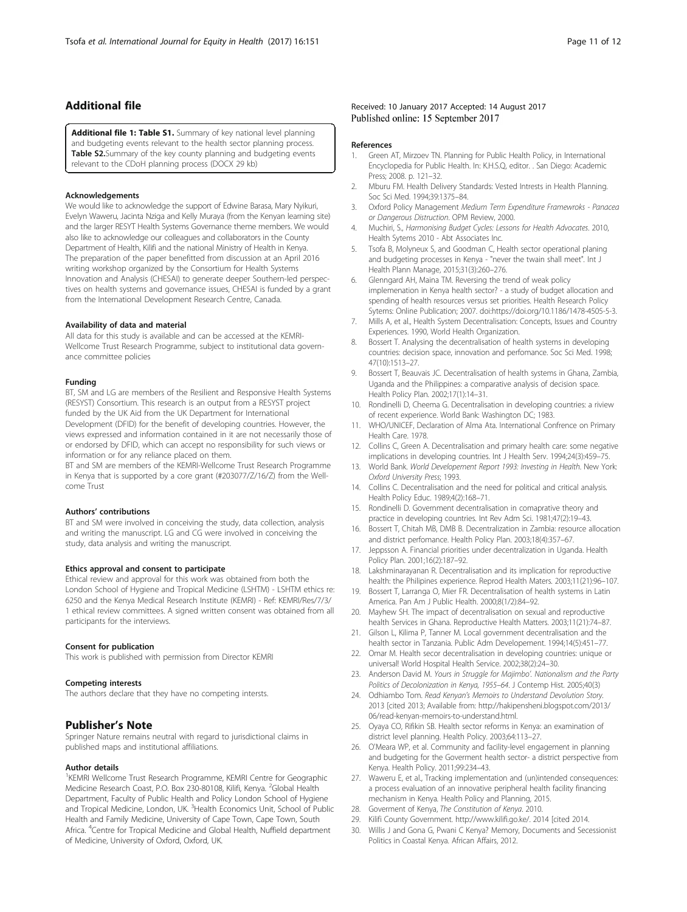## <span id="page-10-0"></span>Additional file

[Additional file 1: Table S1.](dx.doi.org/10.1186/s12939-017-0649-0) Summary of key national level planning and budgeting events relevant to the health sector planning process. Table S2.Summary of the key county planning and budgeting events relevant to the CDoH planning process (DOCX 29 kb)

#### Acknowledgements

We would like to acknowledge the support of Edwine Barasa, Mary Nyikuri, Evelyn Waweru, Jacinta Nziga and Kelly Muraya (from the Kenyan learning site) and the larger RESYT Health Systems Governance theme members. We would also like to acknowledge our colleagues and collaborators in the County Department of Health, Kilifi and the national Ministry of Health in Kenya. The preparation of the paper benefitted from discussion at an April 2016 writing workshop organized by the Consortium for Health Systems Innovation and Analysis (CHESAI) to generate deeper Southern-led perspectives on health systems and governance issues, CHESAI is funded by a grant from the International Development Research Centre, Canada.

#### Availability of data and material

All data for this study is available and can be accessed at the KEMRI-Wellcome Trust Research Programme, subject to institutional data governance committee policies

#### Funding

BT, SM and LG are members of the Resilient and Responsive Health Systems (RESYST) Consortium. This research is an output from a RESYST project funded by the UK Aid from the UK Department for International Development (DFID) for the benefit of developing countries. However, the views expressed and information contained in it are not necessarily those of or endorsed by DFID, which can accept no responsibility for such views or information or for any reliance placed on them.

BT and SM are members of the KEMRI-Wellcome Trust Research Programme in Kenya that is supported by a core grant (#203077/Z/16/Z) from the Wellcome Trust

#### Authors' contributions

BT and SM were involved in conceiving the study, data collection, analysis and writing the manuscript. LG and CG were involved in conceiving the study, data analysis and writing the manuscript.

#### Ethics approval and consent to participate

Ethical review and approval for this work was obtained from both the London School of Hygiene and Tropical Medicine (LSHTM) - LSHTM ethics re: 6250 and the Kenya Medical Research Institute (KEMRI) - Ref: KEMRI/Res/7/3/ 1 ethical review committees. A signed written consent was obtained from all participants for the interviews.

#### Consent for publication

This work is published with permission from Director KEMRI

#### Competing interests

The authors declare that they have no competing intersts.

#### Publisher's Note

Springer Nature remains neutral with regard to jurisdictional claims in published maps and institutional affiliations.

#### Author details

<sup>1</sup>KEMRI Wellcome Trust Research Programme, KEMRI Centre for Geographic Medicine Research Coast, P.O. Box 230-80108, Kilifi, Kenya. <sup>2</sup>Global Health Department, Faculty of Public Health and Policy London School of Hygiene and Tropical Medicine, London, UK. <sup>3</sup>Health Economics Unit, School of Public Health and Family Medicine, University of Cape Town, Cape Town, South Africa. <sup>4</sup>Centre for Tropical Medicine and Global Health, Nuffield department of Medicine, University of Oxford, Oxford, UK.

#### Received: 10 January 2017 Accepted: 14 August 2017 Published online: 15 September 2017

#### References

- 1. Green AT, Mirzoev TN. Planning for Public Health Policy, in International Encyclopedia for Public Health. In: K.H.S.Q, editor. . San Diego: Academic Press; 2008. p. 121–32.
- 2. Mburu FM. Health Delivery Standards: Vested Intrests in Health Planning. Soc Sci Med. 1994;39:1375–84.
- 3. Oxford Policy Management Medium Term Expenditure Framewroks Panacea or Dangerous Distruction. OPM Review, 2000.
- 4. Muchiri, S., Harmonising Budget Cycles: Lessons for Health Advocates. 2010, Health Sytems 2010 - Abt Associates Inc.
- Tsofa B, Molyneux S, and Goodman C, Health sector operational planing and budgeting processes in Kenya - "never the twain shall meet". Int J Health Plann Manage, 2015;31(3):260–276.
- 6. Glenngard AH, Maina TM. Reversing the trend of weak policy implemenation in Kenya health sector? - a study of budget allocation and spending of health resources versus set priorities. Health Research Policy Sytems: Online Publication; 2007. doi[:https://doi.org/10.1186/1478-4505-5-3.](http://dx.doi.org/10.1186/1478-4505-5-3)
- 7. Mills A, et al., Health System Decentralisation: Concepts, Issues and Country Experiences. 1990, World Health Organization.
- 8. Bossert T. Analysing the decentralisation of health systems in developing countries: decision space, innovation and perfomance. Soc Sci Med. 1998; 47(10):1513–27.
- 9. Bossert T, Beauvais JC. Decentralisation of health systems in Ghana, Zambia, Uganda and the Philippines: a comparative analysis of decision space. Health Policy Plan. 2002;17(1):14–31.
- 10. Rondinelli D, Cheema G. Decentralisation in developing countries: a riview of recent experience. World Bank: Washington DC; 1983.
- 11. WHO/UNICEF, Declaration of Alma Ata. International Confrence on Primary Health Care. 1978.
- 12. Collins C, Green A. Decentralisation and primary health care: some negative implications in developing countries. Int J Health Serv. 1994;24(3):459–75.
- 13. World Bank. World Developement Report 1993: Investing in Health. New York: Oxford University Press; 1993.
- 14. Collins C. Decentralisation and the need for political and critical analysis. Health Policy Educ. 1989;4(2):168–71.
- 15. Rondinelli D. Government decentralisation in comaprative theory and practice in developing countries. Int Rev Adm Sci. 1981;47(2):19–43.
- 16. Bossert T, Chitah MB, DMB B. Decentralization in Zambia: resource allocation and district perfomance. Health Policy Plan. 2003;18(4):357–67.
- 17. Jeppsson A. Financial priorities under decentralization in Uganda. Health Policy Plan. 2001;16(2):187–92.
- 18. Lakshminarayanan R. Decentralisation and its implication for reproductive health: the Philipines experience. Reprod Health Maters. 2003;11(21):96–107.
- 19. Bossert T, Larranga O, Mier FR. Decentralisation of health systems in Latin America. Pan Am J Public Health. 2000;8(1/2):84–92.
- 20. Mayhew SH. The impact of decentralisation on sexual and reproductive health Services in Ghana. Reproductive Health Matters. 2003;11(21):74–87.
- 21. Gilson L, Kilima P, Tanner M. Local government decentralisation and the health sector in Tanzania. Public Adm Developement. 1994;14(5):451–77.
- 22. Omar M. Health secor decentralisation in developing countries: unique or universal! World Hospital Health Service. 2002;38(2):24–30.
- 23. Anderson David M. Yours in Struggle for Majimbo'. Nationalism and the Party Politics of Decolonization in Kenya, 1955–64. J Contemp Hist. 2005;40(3)
- 24. Odhiambo Tom. Read Kenyan's Memoirs to Understand Devolution Story. 2013 [cited 2013; Available from: [http://hakipensheni.blogspot.com/2013/](http://hakipensheni.blogspot.com/2013/06/read-kenyan-memoirs-to-understand.html) [06/read-kenyan-memoirs-to-understand.html.](http://hakipensheni.blogspot.com/2013/06/read-kenyan-memoirs-to-understand.html)
- 25. Oyaya CO, Rifikin SB. Health sector reforms in Kenya: an examination of district level planning. Health Policy. 2003;64:113–27.
- 26. O'Meara WP, et al. Community and facility-level engagement in planning and budgeting for the Goverment health sector- a district perspective from Kenya. Health Policy. 2011;99:234–43.
- 27. Waweru E, et al., Tracking implementation and (un)intended consequences: a process evaluation of an innovative peripheral health facility financing mechanism in Kenya. Health Policy and Planning, 2015.
- 28. Goverment of Kenya, The Constitution of Kenya. 2010.<br>29. Kilifi County Government. http://www.kilifi.ao.ke/ 201
- 29. Kilifi County Government. [http://www.kilifi.go.ke/](http://www.kilifi.go.ke). 2014 [cited 2014.
- 30. Willis J and Gona G, Pwani C Kenya? Memory, Documents and Secessionist Politics in Coastal Kenya. African Affairs, 2012.